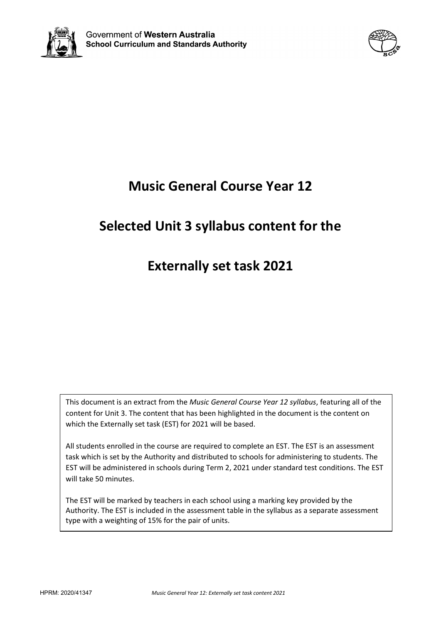



# **Music General Course Year 12**

## **Selected Unit 3 syllabus content for the**

## **Externally set task 2021**

This document is an extract from the *Music General Course Year 12 syllabus*, featuring all of the content for Unit 3. The content that has been highlighted in the document is the content on which the Externally set task (EST) for 2021 will be based.

All students enrolled in the course are required to complete an EST. The EST is an assessment task which is set by the Authority and distributed to schools for administering to students. The EST will be administered in schools during Term 2, 2021 under standard test conditions. The EST will take 50 minutes.

The EST will be marked by teachers in each school using a marking key provided by the Authority. The EST is included in the assessment table in the syllabus as a separate assessment type with a weighting of 15% for the pair of units.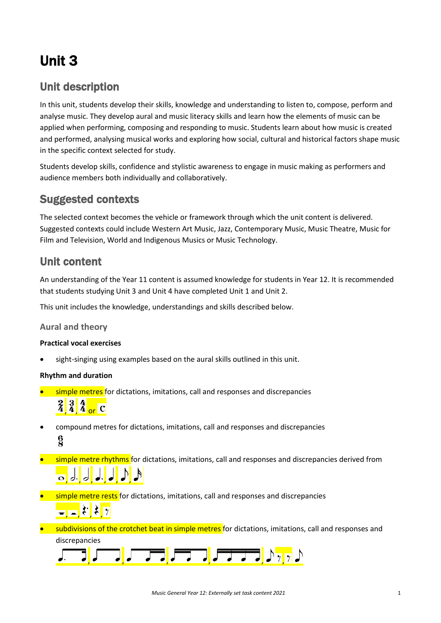# Unit 3

### Unit description

In this unit, students develop their skills, knowledge and understanding to listen to, compose, perform and analyse music. They develop aural and music literacy skills and learn how the elements of music can be applied when performing, composing and responding to music. Students learn about how music is created and performed, analysing musical works and exploring how social, cultural and historical factors shape music in the specific context selected for study.

Students develop skills, confidence and stylistic awareness to engage in music making as performers and audience members both individually and collaboratively.

### Suggested contexts

The selected context becomes the vehicle or framework through which the unit content is delivered. Suggested contexts could include Western Art Music, Jazz, Contemporary Music, Music Theatre, Music for Film and Television, World and Indigenous Musics or Music Technology.

### Unit content

An understanding of the Year 11 content is assumed knowledge for students in Year 12. It is recommended that students studying Unit 3 and Unit 4 have completed Unit 1 and Unit 2.

This unit includes the knowledge, understandings and skills described below.

#### **Aural and theory**

#### **Practical vocal exercises**

sight-singing using examples based on the aural skills outlined in this unit.

#### **Rhythm and duration**

**•** simple metres for dictations, imitations, call and responses and discrepancies

# $\frac{2}{4}$  $\frac{3}{4}$  $\frac{4}{4}$  or C

- compound metres for dictations, imitations, call and responses and discrepancies  $\frac{6}{2}$
- **simple metre rhythms** for dictations, imitations, call and responses and discrepancies derived from , , , , , ,
- **•** simple metre rests for dictations, imitations, call and responses and discrepancies  $\frac{1}{\sqrt{2}}$ ,  $\frac{1}{2}$ ,  $\frac{1}{2}$ ,  $\frac{1}{2}$
- subdivisions of the crotchet beat in simple metres for dictations, imitations, call and responses and discrepancies

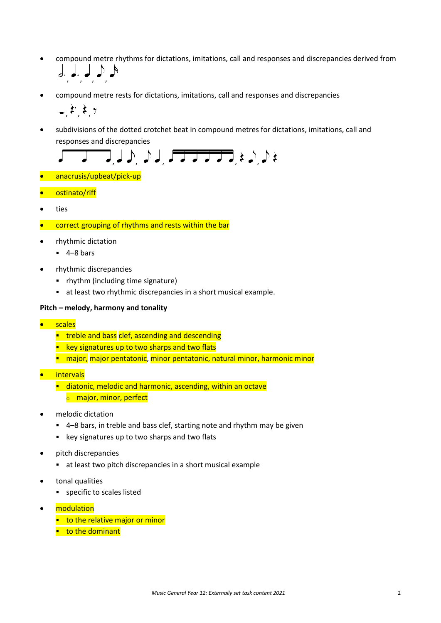- compound metre rhythms for dictations, imitations, call and responses and discrepancies derived from , , , ,
- compound metre rests for dictations, imitations, call and responses and discrepancies

$$
,\mathfrak{k},\mathfrak{k},\tau
$$

• subdivisions of the dotted crotchet beat in compound metres for dictations, imitations, call and responses and discrepancies

$$
\sqrt{1-\sqrt{1-\lambda}}\int d\mu \int d\mu \sqrt{1-\lambda} \sqrt{1-\lambda} \sqrt{1-\lambda} \sqrt{1+\lambda} \sqrt{1+\lambda} \sqrt{1+\lambda} \sqrt{1+\lambda} \sqrt{1+\lambda} \sqrt{1+\lambda} \sqrt{1+\lambda} \sqrt{1+\lambda} \sqrt{1+\lambda} \sqrt{1+\lambda} \sqrt{1+\lambda} \sqrt{1+\lambda} \sqrt{1+\lambda} \sqrt{1+\lambda} \sqrt{1+\lambda} \sqrt{1+\lambda} \sqrt{1+\lambda} \sqrt{1+\lambda} \sqrt{1+\lambda} \sqrt{1+\lambda} \sqrt{1+\lambda} \sqrt{1+\lambda} \sqrt{1+\lambda} \sqrt{1+\lambda} \sqrt{1+\lambda} \sqrt{1+\lambda} \sqrt{1+\lambda} \sqrt{1+\lambda} \sqrt{1+\lambda} \sqrt{1+\lambda} \sqrt{1+\lambda} \sqrt{1+\lambda} \sqrt{1+\lambda} \sqrt{1+\lambda} \sqrt{1+\lambda} \sqrt{1+\lambda} \sqrt{1+\lambda} \sqrt{1+\lambda} \sqrt{1+\lambda} \sqrt{1+\lambda} \sqrt{1+\lambda} \sqrt{1+\lambda} \sqrt{1+\lambda} \sqrt{1+\lambda} \sqrt{1+\lambda} \sqrt{1+\lambda} \sqrt{1+\lambda} \sqrt{1+\lambda} \sqrt{1+\lambda} \sqrt{1+\lambda} \sqrt{1+\lambda} \sqrt{1+\lambda} \sqrt{1+\lambda} \sqrt{1+\lambda} \sqrt{1+\lambda} \sqrt{1+\lambda} \sqrt{1+\lambda} \sqrt{1+\lambda} \sqrt{1+\lambda} \sqrt{1+\lambda} \sqrt{1+\lambda} \sqrt{1+\lambda} \sqrt{1+\lambda} \sqrt{1+\lambda} \sqrt{1+\lambda} \sqrt{1+\lambda} \sqrt{1+\lambda} \sqrt{1+\lambda} \sqrt{1+\lambda} \sqrt{1+\lambda} \sqrt{1+\lambda} \sqrt{1+\lambda} \sqrt{1+\lambda} \sqrt{1+\lambda} \sqrt{1+\lambda} \sqrt{1+\lambda} \sqrt{1+\lambda} \sqrt{1+\lambda} \sqrt{1+\lambda} \sqrt{1+\lambda} \sqrt{1+\lambda} \sqrt{1+\lambda} \sqrt{1+\lambda} \sqrt{1+\lambda} \sqrt{1+\lambda} \sqrt{1+\lambda} \sqrt{1+\lambda} \sqrt{1+\lambda} \sqrt{1+\lambda} \sqrt{1+\lambda} \sqrt{1+\lambda} \sqrt{1+\lambda} \sqrt{1+\lambda} \sqrt{1+\lambda} \sqrt{1+\lambda} \sqrt{1+\lambda} \sqrt{1+\lambda} \sqrt{1+\lambda} \sqrt{1+\lambda} \sqrt{1+\lambda} \sqrt{1+\lambda} \sqrt{1+\lambda} \sqrt{1
$$

- anacrusis/upbeat/pick-up
- ostinato/riff
- ties
- correct grouping of rhythms and rests within the bar
- rhythmic dictation
	- $-4-8$  bars
- rhythmic discrepancies
	- rhythm (including time signature)
	- at least two rhythmic discrepancies in a short musical example.

#### **Pitch – melody, harmony and tonality**

- **scales** 
	- **treble and bass clef, ascending and descending**
	- **EXEX** key signatures up to two sharps and two flats
	- **Theormal manuation is allocated in the manuation in the manuation in the minor extinct** minor
- intervals
	- **diatonic, melodic and harmonic, ascending, within an octave** 
		- **o** major, minor, perfect
- melodic dictation
	- 4–8 bars, in treble and bass clef, starting note and rhythm may be given
	- **EXECT:** key signatures up to two sharps and two flats
- pitch discrepancies
	- at least two pitch discrepancies in a short musical example
- tonal qualities
	- specific to scales listed
- modulation
	- $\blacksquare$  to the relative major or minor
	- **to the dominant**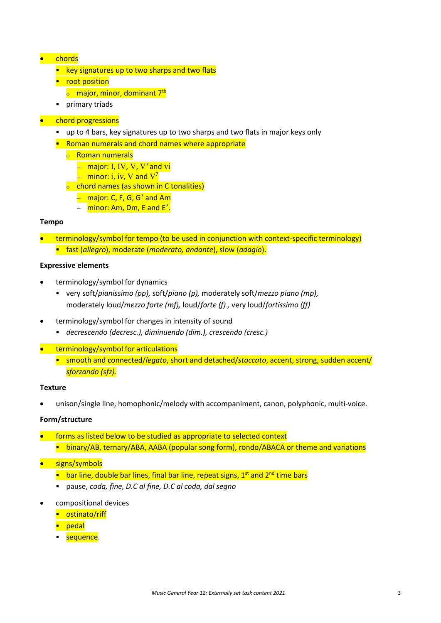#### • chords

- $\blacksquare$  key signatures up to two sharps and two flats
- **•** root position
	- $\circ$  major, minor, dominant 7<sup>th</sup>
- **•** primary triads

#### • chord progressions

- up to 4 bars, key signatures up to two sharps and two flats in major keys only
- **Roman numerals and chord names where appropriate** 
	- <sup>o</sup> Roman numerals
		- − major: I, IV, V, V7 and vi
		- $-$  minor: i, iv, V and  $V^7$
	- $\circ$  chord names (as shown in C tonalities)
		- − major: C, F, G, G7 and Am
		- − <mark>minor: Am, Dm, E and E<sup>7</sup>.</mark>

#### **Tempo**

- terminology/symbol for tempo (to be used in conjunction with context-specific terminology)
	- fast (*allegro*), moderate (*moderato, andante*), slow (*adagio*).

#### **Expressive elements**

- terminology/symbol for dynamics
	- very soft/*pianissimo (pp),* soft/*piano (p),* moderately soft/*mezzo piano (mp),*  moderately loud/*mezzo forte (mf),* loud/*forte (f) ,* very loud/*fortissimo (ff)*
- terminology/symbol for changes in intensity of sound
	- *decrescendo (decresc.), diminuendo (dim.), crescendo (cresc.)*
- terminology/symbol for articulations
	- smooth and connected/*legato*, short and detached/*staccato*, accent, strong, sudden accent/ *sforzando (sfz).*

#### **Texture**

• unison/single line, homophonic/melody with accompaniment, canon, polyphonic, multi-voice.

#### **Form/structure**

• forms as listed below to be studied as appropriate to selected context **Dinary/AB, ternary/ABA, AABA (popular song form), rondo/ABACA or theme and variations** 

#### • signs/symbols

- **E** bar line, double bar lines, final bar line, repeat signs,  $1<sup>st</sup>$  and  $2<sup>nd</sup>$  time bars
- pause, *coda, fine, D.C al fine, D.C al coda, dal segno*
- compositional devices
	- **-** ostinato/riff
	- **P** pedal
	- **sequence**.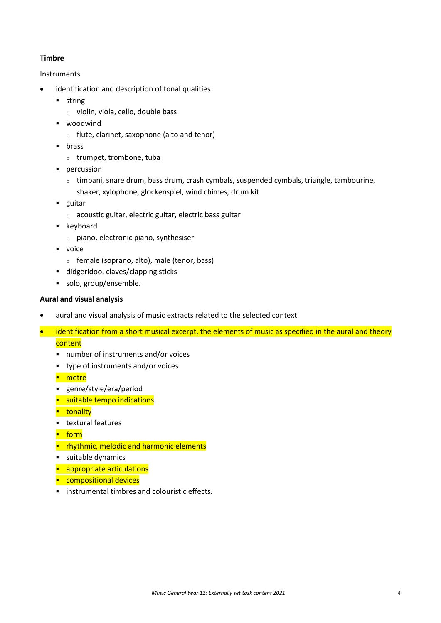#### **Timbre**

#### Instruments

- identification and description of tonal qualities
	- **string** 
		- <sup>o</sup> violin, viola, cello, double bass
	- **•** woodwind
		- <sup>o</sup> flute, clarinet, saxophone (alto and tenor)
	- **u** brass
		- <sup>o</sup> trumpet, trombone, tuba
	- **percussion** 
		- $\circ$  timpani, snare drum, bass drum, crash cymbals, suspended cymbals, triangle, tambourine, shaker, xylophone, glockenspiel, wind chimes, drum kit
	- **guitar** 
		- <sup>o</sup> acoustic guitar, electric guitar, electric bass guitar
	- **EXEC** keyboard
		- <sup>o</sup> piano, electronic piano, synthesiser
	- voice
		- <sup>o</sup> female (soprano, alto), male (tenor, bass)
	- didgeridoo, claves/clapping sticks
	- solo, group/ensemble.

#### **Aural and visual analysis**

- aural and visual analysis of music extracts related to the selected context
- identification from a short musical excerpt, the elements of music as specified in the aural and theory **content** 
	- number of instruments and/or voices
	- type of instruments and/or voices
	- **-** metre
	- genre/style/era/period
	- suitable tempo indications
	- **u**tonality
	- **textural features**
	- **F** form
	- **P** rhythmic, melodic and harmonic elements
	- **suitable dynamics**
	- **appropriate articulations**
	- **Compositional devices**
	- **EXECUTE:** instrumental timbres and colouristic effects.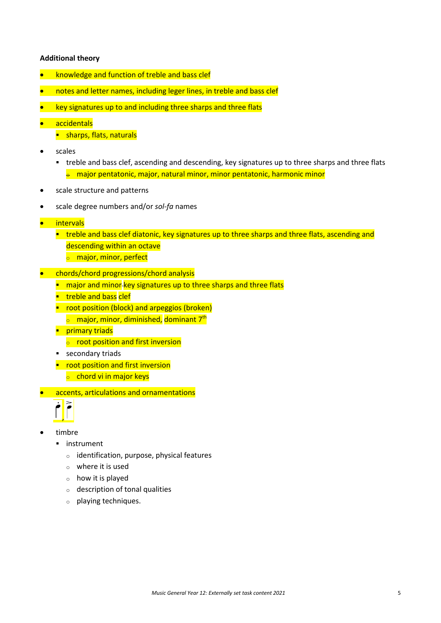#### **Additional theory**

- knowledge and function of treble and bass clef
- notes and letter names, including leger lines, in treble and bass clef
- key signatures up to and including three sharps and three flats
- accidentals
	- **sharps, flats, naturals**
- scales
	- treble and bass clef, ascending and descending, key signatures up to three sharps and three flats  $\frac{1}{2}$  major pentatonic, major, natural minor, minor pentatonic, harmonic minor
- scale structure and patterns
- scale degree numbers and/or *sol-fa* names
- intervals
	- **treble and bass clef diatonic, key signatures up to three sharps and three flats, ascending and** descending within an octave
		- **o** major, minor, perfect
- chords/chord progressions/chord analysis
	- **n** major and minor-key signatures up to three sharps and three flats
	- **treble and bass clef**
	- **•** root position (block) and arpeggios (broken)
		- $\circ$  major, minor, diminished, dominant 7<sup>th</sup>
	- **Primary triads** 
		- $\circ$  root position and first inversion
	- **secondary triads**
	- **•** root position and first inversion  $\circ$  chord vi in major keys
- accents, articulations and ornamentations



- timbre
	- **·** instrument
		- <sup>o</sup> identification, purpose, physical features
		- $\circ$  where it is used
		- <sup>o</sup> how it is played
		- <sup>o</sup> description of tonal qualities
		- <sup>o</sup> playing techniques.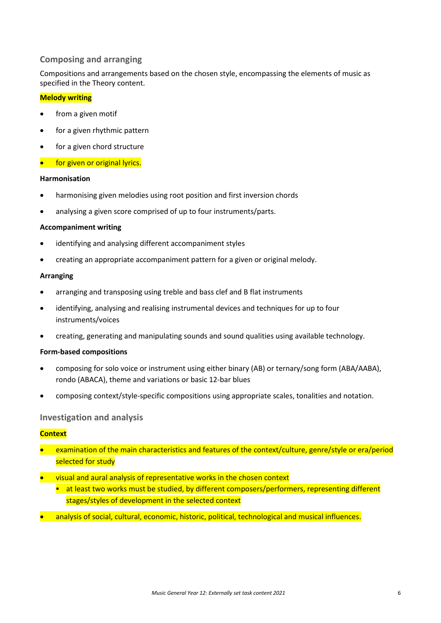#### **Composing and arranging**

Compositions and arrangements based on the chosen style, encompassing the elements of music as specified in the Theory content.

#### **Melody writing**

- from a given motif
- for a given rhythmic pattern
- for a given chord structure
- for given or original lyrics.

#### **Harmonisation**

- harmonising given melodies using root position and first inversion chords
- analysing a given score comprised of up to four instruments/parts.

#### **Accompaniment writing**

- identifying and analysing different accompaniment styles
- creating an appropriate accompaniment pattern for a given or original melody.

#### **Arranging**

- arranging and transposing using treble and bass clef and B flat instruments
- identifying, analysing and realising instrumental devices and techniques for up to four instruments/voices
- creating, generating and manipulating sounds and sound qualities using available technology.

#### **Form-based compositions**

- composing for solo voice or instrument using either binary (AB) or ternary/song form (ABA/AABA), rondo (ABACA), theme and variations or basic 12-bar blues
- composing context/style-specific compositions using appropriate scales, tonalities and notation.

#### **Investigation and analysis**

#### **Context**

- examination of the main characteristics and features of the context/culture, genre/style or era/period selected for study
- visual and aural analysis of representative works in the chosen context
	- at least two works must be studied, by different composers/performers, representing different stages/styles of development in the selected context
- analysis of social, cultural, economic, historic, political, technological and musical influences.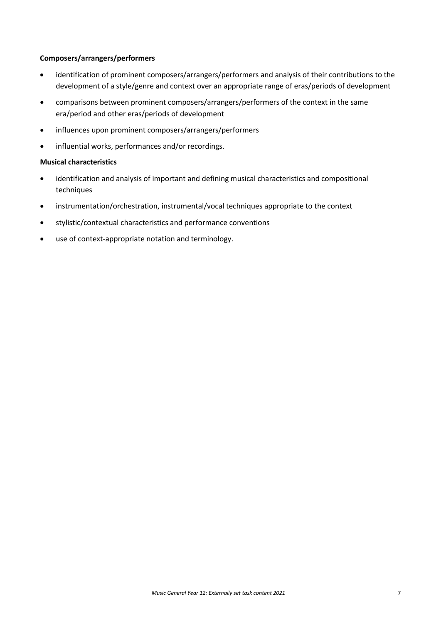#### **Composers/arrangers/performers**

- identification of prominent composers/arrangers/performers and analysis of their contributions to the development of a style/genre and context over an appropriate range of eras/periods of development
- comparisons between prominent composers/arrangers/performers of the context in the same era/period and other eras/periods of development
- influences upon prominent composers/arrangers/performers
- influential works, performances and/or recordings.

#### **Musical characteristics**

- identification and analysis of important and defining musical characteristics and compositional techniques
- instrumentation/orchestration, instrumental/vocal techniques appropriate to the context
- stylistic/contextual characteristics and performance conventions
- use of context-appropriate notation and terminology.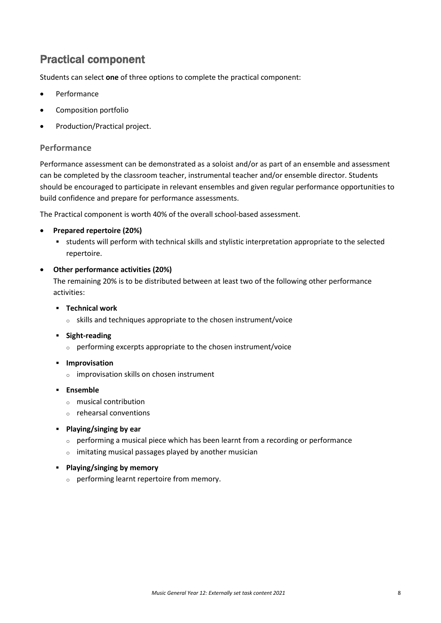### Practical component

Students can select **one** of three options to complete the practical component:

- **Performance**
- Composition portfolio
- Production/Practical project.

#### **Performance**

Performance assessment can be demonstrated as a soloist and/or as part of an ensemble and assessment can be completed by the classroom teacher, instrumental teacher and/or ensemble director. Students should be encouraged to participate in relevant ensembles and given regular performance opportunities to build confidence and prepare for performance assessments.

The Practical component is worth 40% of the overall school-based assessment.

#### • **Prepared repertoire (20%)**

 students will perform with technical skills and stylistic interpretation appropriate to the selected repertoire.

#### • **Other performance activities (20%)**

The remaining 20% is to be distributed between at least two of the following other performance activities:

- **Technical work**
	- <sup>o</sup> skills and techniques appropriate to the chosen instrument/voice
- **Fight-reading** 
	- <sup>o</sup> performing excerpts appropriate to the chosen instrument/voice
- **Improvisation** 
	- <sup>o</sup> improvisation skills on chosen instrument
- **Ensemble**
	- <sup>o</sup> musical contribution
	- <sup>o</sup> rehearsal conventions
- **Playing/singing by ear**
	- <sup>o</sup> performing a musical piece which has been learnt from a recording or performance
	- <sup>o</sup> imitating musical passages played by another musician
- **Playing/singing by memory**
	- <sup>o</sup> performing learnt repertoire from memory.